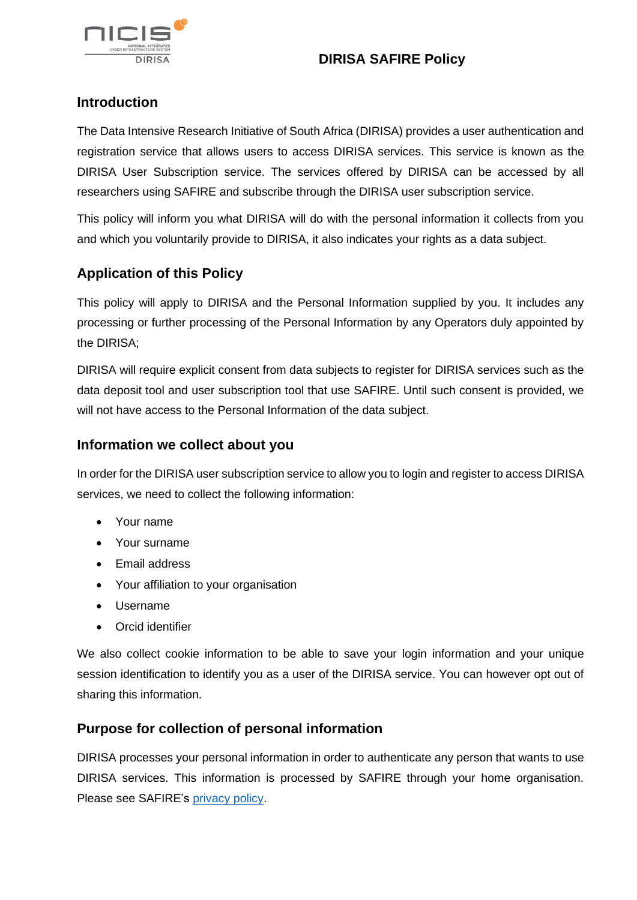

# **DIRISA SAFIRE Policy**

# **Introduction**

The Data Intensive Research Initiative of South Africa (DIRISA) provides a user authentication and registration service that allows users to access DIRISA services. This service is known as the DIRISA User Subscription service. The services offered by DIRISA can be accessed by all researchers using SAFIRE and subscribe through the DIRISA user subscription service.

This policy will inform you what DIRISA will do with the personal information it collects from you and which you voluntarily provide to DIRISA, it also indicates your rights as a data subject.

# **Application of this Policy**

This policy will apply to DIRISA and the Personal Information supplied by you. It includes any processing or further processing of the Personal Information by any Operators duly appointed by the DIRISA;

DIRISA will require explicit consent from data subjects to register for DIRISA services such as the data deposit tool and user subscription tool that use SAFIRE. Until such consent is provided, we will not have access to the Personal Information of the data subject.

### **Information we collect about you**

In order for the DIRISA user subscription service to allow you to login and register to access DIRISA services, we need to collect the following information:

- Your name
- Your surname
- Email address
- Your affiliation to your organisation
- Username
- Orcid identifier

We also collect cookie information to be able to save your login information and your unique session identification to identify you as a user of the DIRISA service. You can however opt out of sharing this information.

#### **Purpose for collection of personal information**

DIRISA processes your personal information in order to authenticate any person that wants to use DIRISA services. This information is processed by SAFIRE through your home organisation. Please see SAFIRE's [privacy policy.](https://safire.ac.za/safire/policy/privacy/)